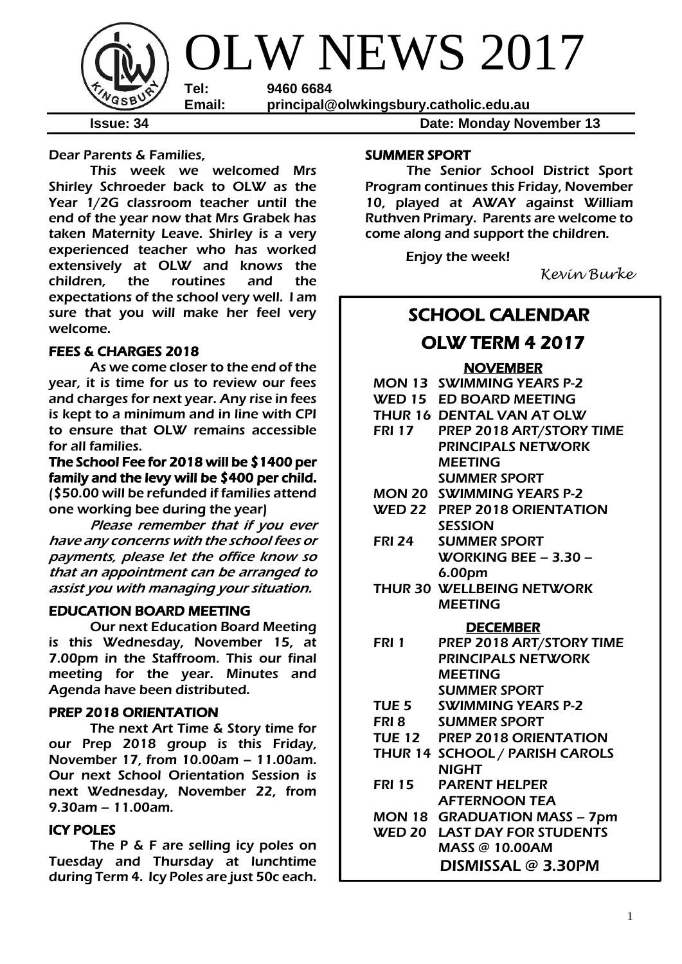

**Issue: 34 Date: Monday November 13** 

Dear Parents & Families,

This week we welcomed Mrs Shirley Schroeder back to OLW as the Year 1/2G classroom teacher until the end of the year now that Mrs Grabek has taken Maternity Leave. Shirley is a very experienced teacher who has worked extensively at OLW and knows the children, the routines and the expectations of the school very well. I am sure that you will make her feel very welcome.

### FEES & CHARGES 2018

As we come closer to the end of the year, it is time for us to review our fees and charges for next year. Any rise in fees is kept to a minimum and in line with CPI to ensure that OLW remains accessible for all families.

The School Fee for 2018 will be \$1400 per family and the levy will be \$400 per child. (\$50.00 will be refunded if families attend one working bee during the year)

Please remember that if you ever have any concerns with the school fees or payments, please let the office know so that an appointment can be arranged to assist you with managing your situation.

### EDUCATION BOARD MEETING

Our next Education Board Meeting is this Wednesday, November 15, at 7.00pm in the Staffroom. This our final meeting for the year. Minutes and Agenda have been distributed.

### PREP 2018 ORIENTATION

 The next Art Time & Story time for our Prep 2018 group is this Friday, November 17, from 10.00am – 11.00am. Our next School Orientation Session is next Wednesday, November 22, from 9.30am – 11.00am.

### ICY POLES

The P & F are selling icy poles on Tuesday and Thursday at lunchtime during Term 4. Icy Poles are just 50c each.

### SUMMER SPORT

The Senior School District Sport Program continues this Friday, November 10, played at AWAY against William Ruthven Primary. Parents are welcome to come along and support the children.

Enjoy the week!

*Kevin Burke*

### SCHOOL CALENDAR

### OLW TERM 4 2017

### **NOVEMBER**

|               | <b>MON 13 SWIMMING YEARS P-2</b>    |
|---------------|-------------------------------------|
|               | WED 15 ED BOARD MEETING             |
|               | THUR 16 DENTAL VAN AT OLW           |
|               | FRI 17 PREP 2018 ART/STORY TIME     |
|               | <b>PRINCIPALS NETWORK</b>           |
|               | <b>MEETING</b>                      |
|               | <b>SUMMER SPORT</b>                 |
|               | <b>MON 20 SWIMMING YEARS P-2</b>    |
|               | WED 22 PREP 2018 ORIENTATION        |
|               | <b>SESSION</b>                      |
| <b>FRI 24</b> | <b>SUMMER SPORT</b>                 |
|               | <b>WORKING BEE - 3.30 -</b>         |
|               | 6.00pm                              |
|               | THUR 30 WELLBEING NETWORK           |
|               | <b>MEETING</b>                      |
|               | <b>DECEMBER</b>                     |
| <b>FRI 1</b>  | PREP 2018 ART/STORY TIME            |
|               | <b>PRINCIPALS NETWORK</b>           |
|               | <b>MEETING</b>                      |
|               | <b>SUMMER SPORT</b>                 |
|               | TUE 5 SWIMMING YEARS P-2            |
|               | <b>FRI 8 SUMMER SPORT</b>           |
|               | TUE 12 PREP 2018 ORIENTATION        |
|               | THUR 14 SCHOOL / PARISH CAROLS      |
|               | <b>NIGHT</b>                        |
| <b>FRI 15</b> | <b>PARENT HELPER</b>                |
|               | <b>AFTERNOON TEA</b>                |
|               | MON 18 GRADUATION MASS - 7pm        |
|               | <b>WED 20 LAST DAY FOR STUDENTS</b> |
|               | <b>MASS @ 10.00AM</b>               |
|               | DISMISSAL @ 3.30PM                  |
|               |                                     |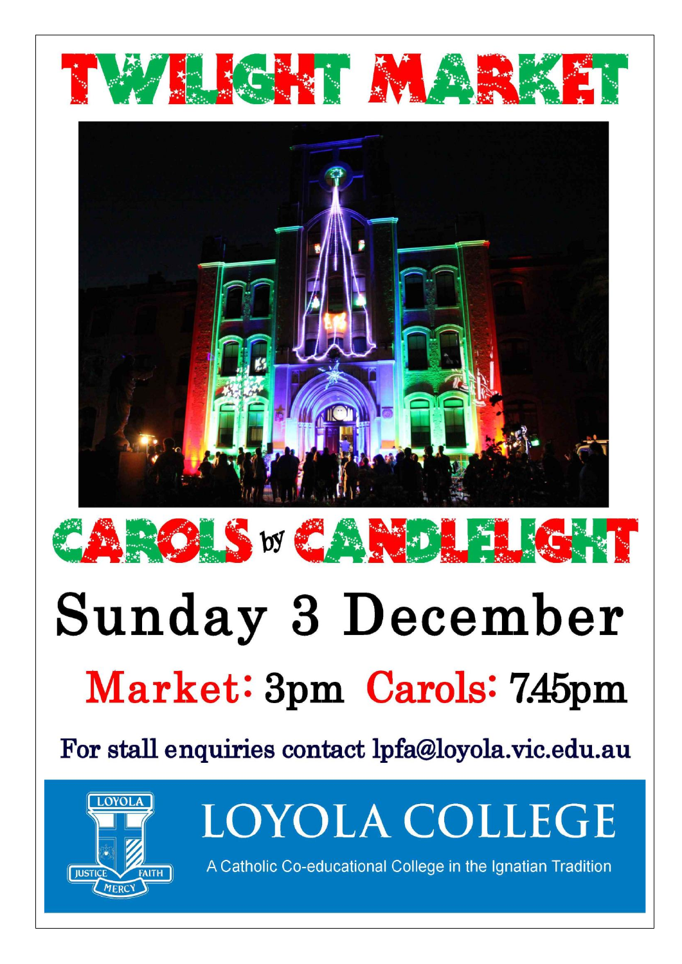

# $\frac{1}{2}$  S by  $\frac{1}{2}$  A M CA

# **Sunday 3 December** Market: 3pm Carols: 7.45pm

For stall enquiries contact lpfa@loyola.vic.edu.au



LOYOLA COLLEGE

A Catholic Co-educational College in the Ignatian Tradition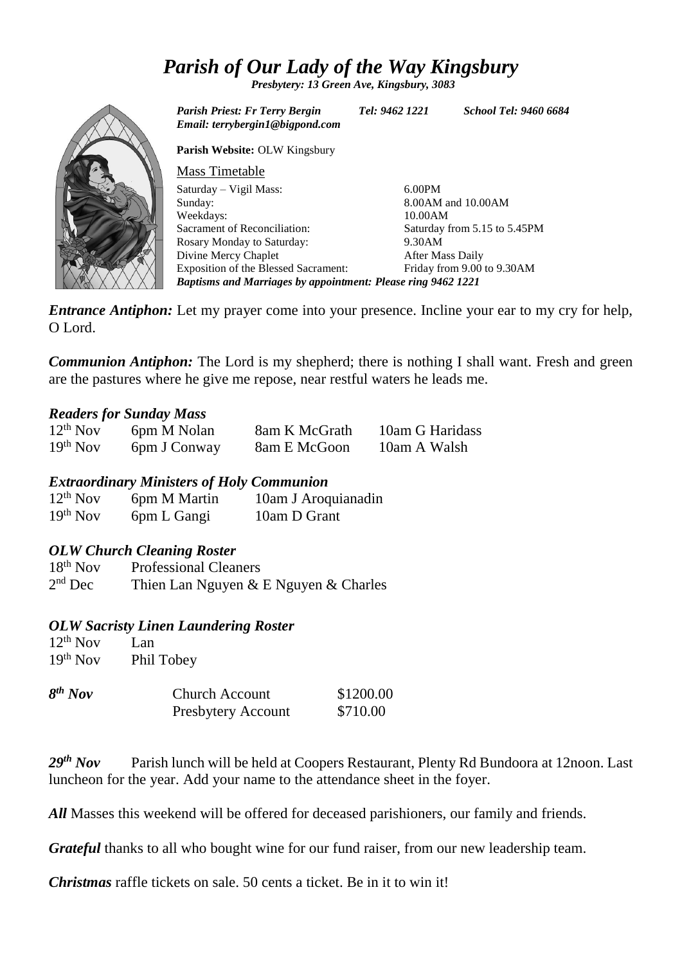## *Parish of Our Lady of the Way Kingsbury*

*Presbytery: 13 Green Ave, Kingsbury, 3083*



*Parish Priest: Fr Terry Bergin Tel: 9462 1221 School Tel: 9460 6684 Email: terrybergin1@bigpond.com* **Parish Website:** OLW Kingsbury Mass Timetable Saturday – Vigil Mass: Sunday: Weekdays: Sacrament of Reconciliation: Rosary Monday to Saturday: Divine Mercy Chaplet Exposition of the Blessed Sacrament: 6.00PM 8.00AM and 10.00AM 10.00AM Saturday from 5.15 to 5.45PM 9.30AM After Mass Daily Friday from 9.00 to 9.30AM *Baptisms and Marriages by appointment: Please ring 9462 1221*

*Entrance Antiphon:* Let my prayer come into your presence. Incline your ear to my cry for help. O Lord.

*Communion Antiphon:* The Lord is my shepherd; there is nothing I shall want. Fresh and green are the pastures where he give me repose, near restful waters he leads me.

### *Readers for Sunday Mass*

| $12^{th}$ Nov | 6pm M Nolan  | 8am K McGrath | 10am G Haridass |
|---------------|--------------|---------------|-----------------|
| $19th$ Nov    | 6pm J Conway | 8am E McGoon  | 10am A Walsh    |

### *Extraordinary Ministers of Holy Communion*

| $12^{th}$ Nov | 6pm M Martin | 10am J Aroquianadin |
|---------------|--------------|---------------------|
| $19th$ Nov    | 6pm L Gangi  | 10am D Grant        |

### *OLW Church Cleaning Roster*

18<sup>th</sup> Nov Professional Cleaners  $2<sup>nd</sup>$  Dec Thien Lan Nguyen  $& E$  Nguyen  $& Charles$ 

#### *OLW Sacristy Linen Laundering Roster*

 $12^{th}$  Nov Lan<br>19<sup>th</sup> Nov Phil Phil Tobey

| $8th$ Nov | <b>Church Account</b>     | \$1200.00 |
|-----------|---------------------------|-----------|
|           | <b>Presbytery Account</b> | \$710.00  |

29<sup>th</sup> Nov Parish lunch will be held at Coopers Restaurant, Plenty Rd Bundoora at 12noon. Last luncheon for the year. Add your name to the attendance sheet in the foyer.

All Masses this weekend will be offered for deceased parishioners, our family and friends.

*Grateful* thanks to all who bought wine for our fund raiser, from our new leadership team.

*Christmas* raffle tickets on sale. 50 cents a ticket. Be in it to win it!